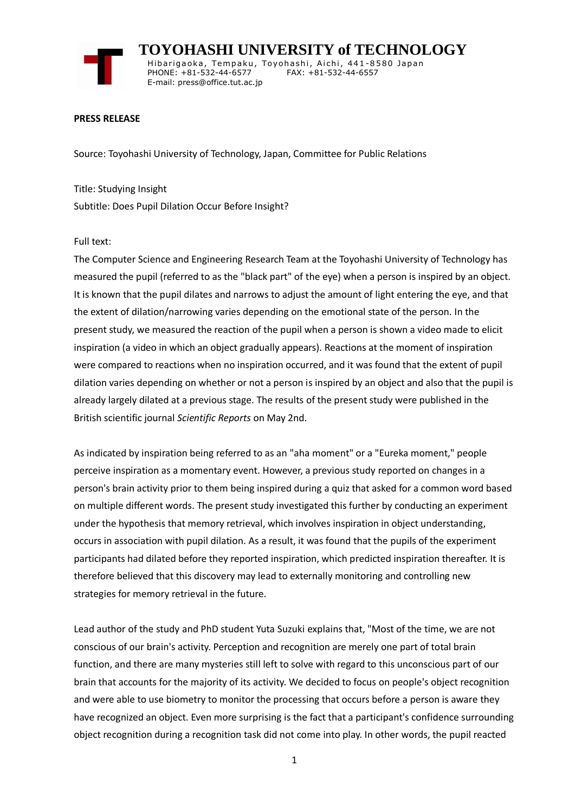

 **TOYOHASHI UNIVERSITY of TECHNOLOGY** Hibarigaoka, Tempaku, Toyohashi, Aichi, 441-8580 Japan PHONE: +81-532-44-6577 FAX: +81-532-44-6557 E-mail: press@office.tut.ac.jp

## **PRESS RELEASE**

Source: Toyohashi University of Technology, Japan, Committee for Public Relations

Title: Studying Insight Subtitle: Does Pupil Dilation Occur Before Insight?

## Full text:

The Computer Science and Engineering Research Team at the Toyohashi University of Technology has measured the pupil (referred to as the "black part" of the eye) when a person is inspired by an object. It is known that the pupil dilates and narrows to adjust the amount of light entering the eye, and that the extent of dilation/narrowing varies depending on the emotional state of the person. In the present study, we measured the reaction of the pupil when a person is shown a video made to elicit inspiration (a video in which an object gradually appears). Reactions at the moment of inspiration were compared to reactions when no inspiration occurred, and it was found that the extent of pupil dilation varies depending on whether or not a person is inspired by an object and also that the pupil is already largely dilated at a previous stage. The results of the present study were published in the British scientific journal *Scientific Reports* on May 2nd.

As indicated by inspiration being referred to as an "aha moment" or a "Eureka moment," people perceive inspiration as a momentary event. However, a previous study reported on changes in a person's brain activity prior to them being inspired during a quiz that asked for a common word based on multiple different words. The present study investigated this further by conducting an experiment under the hypothesis that memory retrieval, which involves inspiration in object understanding, occurs in association with pupil dilation. As a result, it was found that the pupils of the experiment participants had dilated before they reported inspiration, which predicted inspiration thereafter. It is therefore believed that this discovery may lead to externally monitoring and controlling new strategies for memory retrieval in the future.

Lead author of the study and PhD student Yuta Suzuki explains that, "Most of the time, we are not conscious of our brain's activity. Perception and recognition are merely one part of total brain function, and there are many mysteries still left to solve with regard to this unconscious part of our brain that accounts for the majority of its activity. We decided to focus on people's object recognition and were able to use biometry to monitor the processing that occurs before a person is aware they have recognized an object. Even more surprising is the fact that a participant's confidence surrounding object recognition during a recognition task did not come into play. In other words, the pupil reacted

1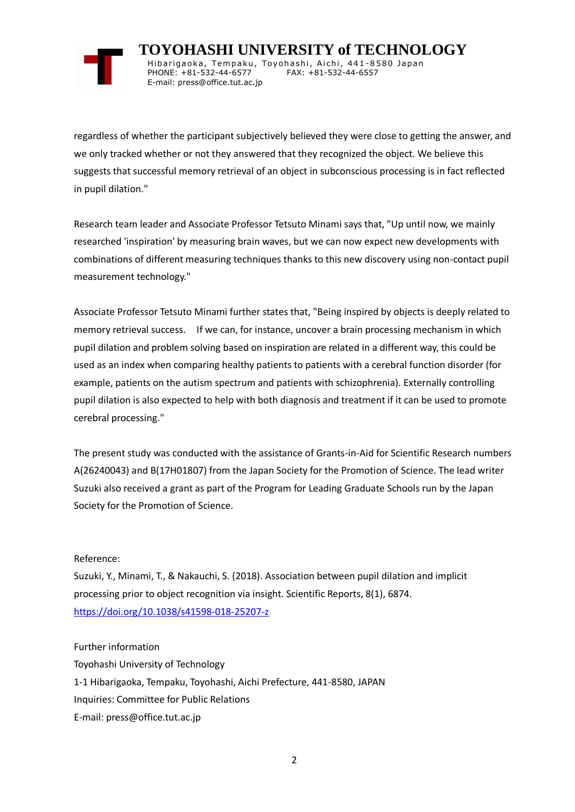

 **TOYOHASHI UNIVERSITY of TECHNOLOGY** Hibarigaoka, Tempaku, Toyohashi, Aichi, 441-8580 Japan PHONE: +81-532-44-6577 FAX: +81-532-44-6557 E-mail: press@office.tut.ac.jp

regardless of whether the participant subjectively believed they were close to getting the answer, and we only tracked whether or not they answered that they recognized the object. We believe this suggests that successful memory retrieval of an object in subconscious processing is in fact reflected in pupil dilation."

Research team leader and Associate Professor Tetsuto Minami says that, "Up until now, we mainly researched 'inspiration' by measuring brain waves, but we can now expect new developments with combinations of different measuring techniques thanks to this new discovery using non-contact pupil measurement technology."

Associate Professor Tetsuto Minami further states that, "Being inspired by objects is deeply related to memory retrieval success. If we can, for instance, uncover a brain processing mechanism in which pupil dilation and problem solving based on inspiration are related in a different way, this could be used as an index when comparing healthy patients to patients with a cerebral function disorder (for example, patients on the autism spectrum and patients with schizophrenia). Externally controlling pupil dilation is also expected to help with both diagnosis and treatment if it can be used to promote cerebral processing."

The present study was conducted with the assistance of Grants-in-Aid for Scientific Research numbers A(26240043) and B(17H01807) from the Japan Society for the Promotion of Science. The lead writer Suzuki also received a grant as part of the Program for Leading Graduate Schools run by the Japan Society for the Promotion of Science.

## Reference:

Suzuki, Y., Minami, T., & Nakauchi, S. (2018). Association between pupil dilation and implicit processing prior to object recognition via insight. Scientific Reports, 8(1), 6874. <https://doi.org/10.1038/s41598-018-25207-z>

Further information

Toyohashi University of Technology 1-1 Hibarigaoka, Tempaku, Toyohashi, Aichi Prefecture, 441-8580, JAPAN Inquiries: Committee for Public Relations E-mail: press@office.tut.ac.jp